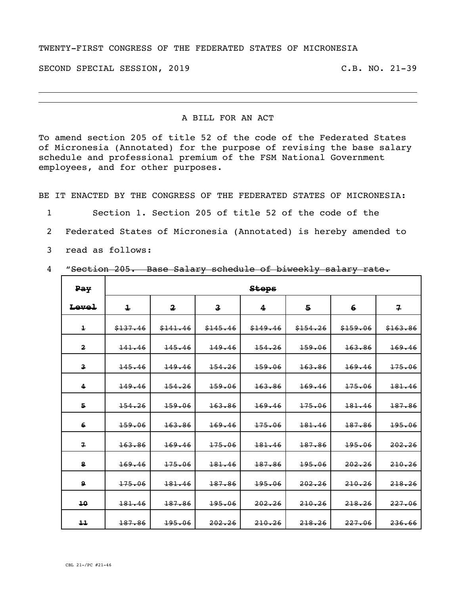## TWENTY-FIRST CONGRESS OF THE FEDERATED STATES OF MICRONESIA

SECOND SPECIAL SESSION, 2019 C.B. NO. 21-39

## A BILL FOR AN ACT

To amend section 205 of title 52 of the code of the Federated States of Micronesia (Annotated) for the purpose of revising the base salary schedule and professional premium of the FSM National Government employees, and for other purposes.

BE IT ENACTED BY THE CONGRESS OF THE FEDERATED STATES OF MICRONESIA:

1 Section 1. Section 205 of title 52 of the code of the

- 2 Federated States of Micronesia (Annotated) is hereby amended to
- 3 read as follows:

## 4 "Section 205. Base Salary schedule of biweekly salary rate.

| <b>Pay</b>              | <b>Steps</b>                                       |          |                              |          |          |          |                         |  |
|-------------------------|----------------------------------------------------|----------|------------------------------|----------|----------|----------|-------------------------|--|
| <b>Level</b>            | $\overline{\mathbf{1}}$<br>$\overline{\mathbf{2}}$ |          | $\overline{\mathbf{3}}$<br>4 |          | 5        | 6        | $\overline{\mathbf{z}}$ |  |
| $\overline{\mathbf{1}}$ | \$137.46                                           | \$141.46 | \$145.46                     | \$149.46 | \$154.26 | \$159.06 | \$163.86                |  |
| $\overline{\mathbf{2}}$ | 141.46                                             | 145.46   | 149.46                       | 154.26   | 159.06   | 163.86   | 169.46                  |  |
| $\overline{\mathbf{3}}$ | 145.46                                             | 149.46   | 154.26                       | 159.06   | 163.86   | 169.46   | 175.06                  |  |
| 4                       | 149.46                                             | 154.26   | 159.06                       | 163.86   | 169.46   | 175.06   | 181.46                  |  |
| 5                       | 154.26<br>159.06                                   |          | 163.86                       | 169.46   | 175.06   | 181.46   | 187.86                  |  |
| 6                       | 159.06                                             | 163.86   | 169.46                       | 175.06   | 181.46   | 187.86   | 195.06                  |  |
| $\mathbf{z}$            | 163.86                                             | 169.46   | 175.06                       | 181.46   | 187.86   | 195.06   | 202.26                  |  |
| 8                       | 169.46                                             | 175.06   | 181.46                       | 187.86   | 195.06   | 202.26   | 210.26                  |  |
| 9                       | 175.06                                             | 181.46   | 187.86                       | 195.06   | 202.26   | 210.26   | 218.26                  |  |
| 10                      | 181.46                                             | 187.86   | 195.06                       | 202.26   | 210.26   | 218.26   | 227.06                  |  |
| 11                      | 187.86                                             | 195.06   | 202.26                       | 210.26   | 218, 26  | 227.06   | 236.66                  |  |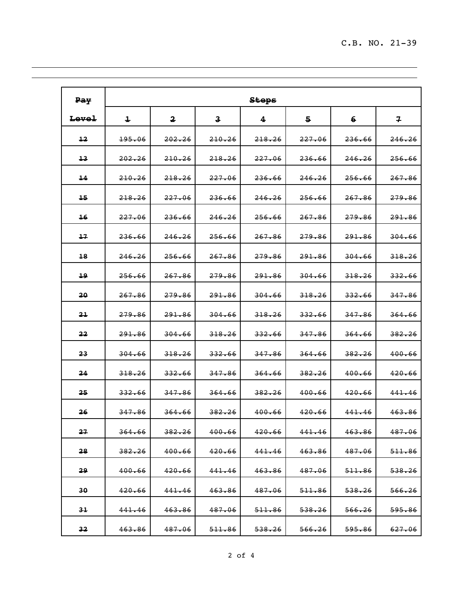$\overline{\phantom{0}}$ 

| Pay              | <b>Steps</b>                           |                         |                         |                   |                   |                    |                         |  |
|------------------|----------------------------------------|-------------------------|-------------------------|-------------------|-------------------|--------------------|-------------------------|--|
| <del>Level</del> | 1                                      | $\overline{\mathbf{2}}$ | $\overline{\mathbf{3}}$ | 4                 | 5                 | 6                  | $\overline{\mathbf{r}}$ |  |
| $\pm 2$          | 195.06                                 | 202.26                  | 210.26                  | 218.26            | 227.06            | 236.66             | 246.26                  |  |
| $+3$             | 202.26                                 | 210.26                  | 218.26                  | 227.06            | 236.66            | 246.26             | <del>256.66</del>       |  |
| $\overline{14}$  | 210.26<br>218.26                       |                         | 227.06                  | 236.66            | 246.26            | 256.66             | 267.86                  |  |
| 15               | 218.26                                 | <del>227.06</del>       | 236.66                  | 246.26            | <del>256.66</del> | <del>267.86</del>  | <del>279.86</del>       |  |
| 16               | 227.06                                 | 236.66                  | 246.26                  | 256.66            | 267.86            | <del>279.86</del>  | <del>291.86</del>       |  |
| $+7$             | 236.66                                 | 246.26                  | 256.66                  | 267.86            | 279.86            | 291.86             | <del>304.66</del>       |  |
| $+8$             | 246.26<br><del>256.66</del>            |                         | 267.86                  | 279.86            | 291.86            | <del>304.66</del>  | 318.26                  |  |
| 19               | 256.66<br><del>267.86</del>            |                         | <del>279.86</del>       | <del>291.86</del> | <del>304.66</del> | 318.26             | 332.66                  |  |
| 20               | 267.86<br><del>279.86</del>            |                         | 291.86                  | 304.66            | 318.26            | 332.66             | 347.86                  |  |
| 21               | <del>279.86</del><br><del>291.86</del> |                         | 304.66                  | 318.26            | <del>332.66</del> | <del>347.86</del>  | <del>364.66</del>       |  |
| 22               | 291.86<br>304.66                       |                         | 318.26                  | 332.66            | 347.86            | <del>364.66</del>  | 382.26                  |  |
| 23               | 304.66                                 | 318.26                  | 332.66                  | 347.86            | 364.66            | 382.26             | 400.66                  |  |
| 24               | 318.26                                 | <del>332.66</del>       | 347.86                  | 364.66            | 382.26            | 400.66             | <del>420.66</del>       |  |
| 25               | 332.66                                 | 347.86                  | <del>364.66</del>       | 382.26            | 400.66            | 420.66             | 441.46                  |  |
| 26               | 347.86                                 | 364.66                  | 382.26                  | 400.66            | 420.66            | 441.46             | 463.86                  |  |
| 27               | 364.66                                 | 382.26                  | 400.66                  | <del>420.66</del> | 441.46            | 4 <del>63.86</del> | 487.06                  |  |
| 28               | 382.26                                 | 400.66                  | 420.66                  | 441.46            | 463.86            | 487.06             | 511.86                  |  |
| 29               | 400.66                                 | 420.66                  | 441.46                  | 463.86            | 487.06            | 511.86             | 538.26                  |  |
| 30.              | 420.66                                 | 441.46                  | <del>463.86</del>       | 487.06            | 511.86            | <del>538.26</del>  | <del>566.26</del>       |  |
| $3+$             | 441.46                                 | 463.86                  | 487.06                  | 511.86            | 538.26            | 566.26             | <del>595.86</del>       |  |
| 32               | 463.86                                 | 487.06                  | 511.86                  | 538.26            | 566.26            | 595.86             | 627.06                  |  |

<u> 1989 - Johann Stoff, fransk politik (f. 1989)</u>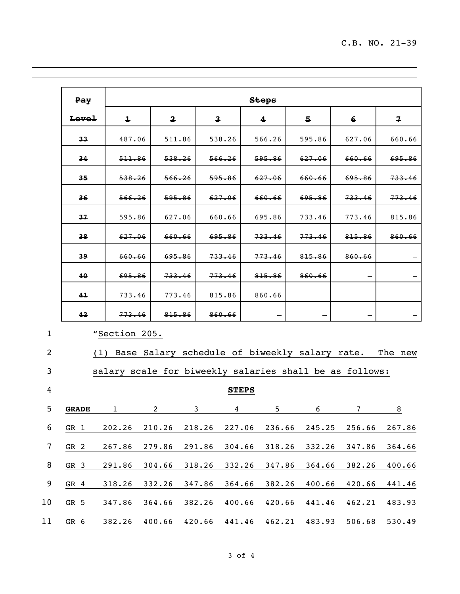| Pay          |                   | <b>Stops</b>            |        |                         |                   |                                                           |                   |                         |  |  |
|--------------|-------------------|-------------------------|--------|-------------------------|-------------------|-----------------------------------------------------------|-------------------|-------------------------|--|--|
| Level        | $\ddagger$        | $\overline{\mathbf{2}}$ |        | $\overline{\mathbf{3}}$ | 4                 | 5.                                                        | 6                 | $\overline{\mathbf{z}}$ |  |  |
| $33 -$       | 487.06            | 511.86                  |        | 538.26                  | 566.26            | 595.86                                                    | 627.06            | 660.66                  |  |  |
| 34           | 511.86            | 538.26                  |        | 566.26                  | 595.86            | 627.06                                                    | 660.66            | 695.86                  |  |  |
| $35 -$       | 538.26            | 566.26                  |        | 595.86                  | 627.06            | 660.66                                                    | <del>695.86</del> | <del>733.46</del>       |  |  |
| 36           | 566.26            | 595.86                  |        | 627.06                  | 660.66            | 695.86                                                    | 733.46            | 773.46                  |  |  |
| 37           | <del>595.86</del> | 627.06                  |        | 660.66                  | 695.86            | 733.46                                                    | 773.46            | 815.86                  |  |  |
| 38           | 627.06            | 660.66                  |        | 695.86                  | <del>733.46</del> | 773.46                                                    | 815.86            | 860.66                  |  |  |
| 39           | 660.66            | 695.86                  |        | 733.46                  | 773.46            | 815.86                                                    | 860.66            |                         |  |  |
| 40           | 695.86            | 733.46                  |        | 773.46                  | 815.86            | 860.66                                                    |                   |                         |  |  |
| 41           | 733.46            | 773.46                  |        | 815.86                  | 860.66            |                                                           |                   |                         |  |  |
| 42           | 773.46            | 815.86                  |        | 860.66                  |                   |                                                           |                   |                         |  |  |
|              | "Section 205.     |                         |        |                         |                   |                                                           |                   |                         |  |  |
|              |                   |                         |        |                         |                   | (1) Base Salary schedule of biweekly salary rate. The new |                   |                         |  |  |
|              |                   |                         |        |                         |                   | salary scale for biweekly salaries shall be as follows:   |                   |                         |  |  |
| <b>STEPS</b> |                   |                         |        |                         |                   |                                                           |                   |                         |  |  |
| <b>GRADE</b> | 1                 | $\overline{\mathbf{c}}$ | 3      | 4                       | 5                 | 6                                                         | 7                 | 8                       |  |  |
| GR 1         | 202.26            | 210.26                  | 218.26 | 227.06                  | 236.66            | 245.25                                                    | 256.66            | 267.86                  |  |  |
| GR 2         | 267.86            | 279.86                  | 291.86 | 304.66                  | 318.26            | 332.26                                                    | 347.86            | 364.66                  |  |  |
| GR 3         | 291.86            | 304.66                  | 318.26 | 332.26                  | 347.86            | 364.66                                                    | 382.26            | 400.66                  |  |  |
| GR 4         | 318.26            | 332.26                  | 347.86 | 364.66                  | 382.26            | 400.66                                                    | 420.66            | 441.46                  |  |  |

GR 5 347.86 364.66 382.26 400.66 420.66 441.46 462.21 483.93